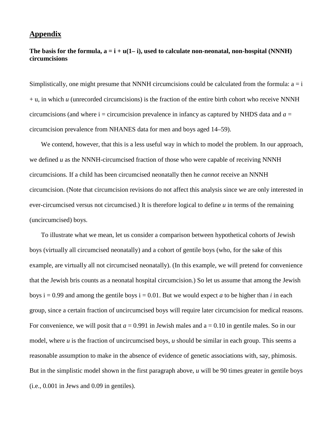## **Appendix**

## The basis for the formula,  $a = i + u(1-i)$ , used to calculate non-neonatal, non-hospital (NNNH) **circumcisions**

Simplistically, one might presume that NNNH circumcisions could be calculated from the formula:  $a = i$  $+$  u, in which  $u$  (unrecorded circumcisions) is the fraction of the entire birth cohort who receive NNNH circumcisions (and where  $i =$  circumcision prevalence in infancy as captured by NHDS data and  $a =$ circumcision prevalence from NHANES data for men and boys aged 14–59).

We contend, however, that this is a less useful way in which to model the problem. In our approach, we defined *u* as the NNNH-circumcised fraction of those who were capable of receiving NNNH circumcisions. If a child has been circumcised neonatally then he *cannot* receive an NNNH circumcision. (Note that circumcision revisions do not affect this analysis since we are only interested in ever-circumcised versus not circumcised.) It is therefore logical to define *u* in terms of the remaining (uncircumcised) boys.

To illustrate what we mean, let us consider a comparison between hypothetical cohorts of Jewish boys (virtually all circumcised neonatally) and a cohort of gentile boys (who, for the sake of this example, are virtually all not circumcised neonatally). (In this example, we will pretend for convenience that the Jewish bris counts as a neonatal hospital circumcision.) So let us assume that among the Jewish boys  $i = 0.99$  and among the gentile boys  $i = 0.01$ . But we would expect *a* to be higher than *i* in each group, since a certain fraction of uncircumcised boys will require later circumcision for medical reasons. For convenience, we will posit that  $a = 0.991$  in Jewish males and  $a = 0.10$  in gentile males. So in our model, where *u* is the fraction of uncircumcised boys, *u* should be similar in each group. This seems a reasonable assumption to make in the absence of evidence of genetic associations with, say, phimosis. But in the simplistic model shown in the first paragraph above, *u* will be 90 times greater in gentile boys (i.e., 0.001 in Jews and 0.09 in gentiles).